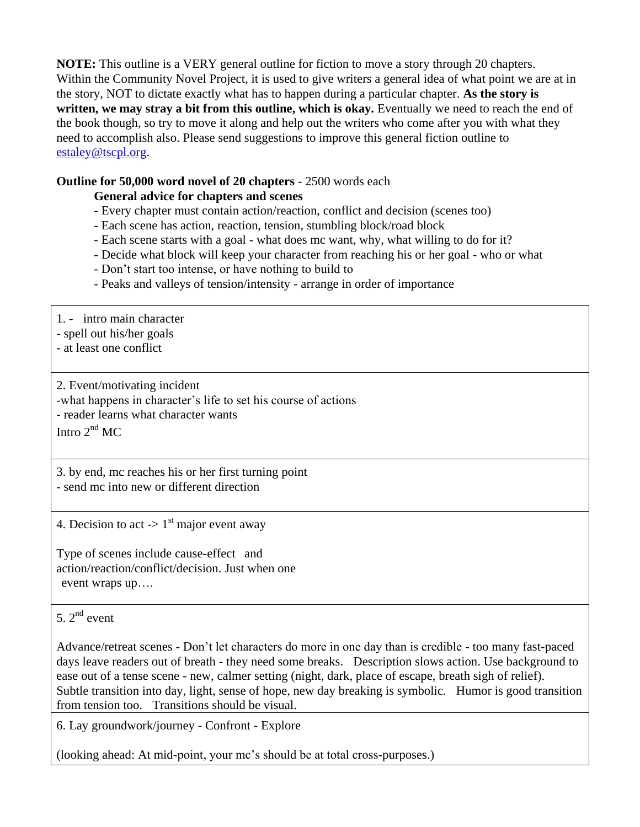**NOTE:** This outline is a VERY general outline for fiction to move a story through 20 chapters. Within the Community Novel Project, it is used to give writers a general idea of what point we are at in the story, NOT to dictate exactly what has to happen during a particular chapter. **As the story is written, we may stray a bit from this outline, which is okay.** Eventually we need to reach the end of the book though, so try to move it along and help out the writers who come after you with what they need to accomplish also. Please send suggestions to improve this general fiction outline to [estaley@tscpl.org.](mailto:estaley@tscpl.org)

## **Outline for 50,000 word novel of 20 chapters** - 2500 words each

## **General advice for chapters and scenes**

- Every chapter must contain action/reaction, conflict and decision (scenes too)
- Each scene has action, reaction, tension, stumbling block/road block
- Each scene starts with a goal what does mc want, why, what willing to do for it?
- Decide what block will keep your character from reaching his or her goal who or what
- Don't start too intense, or have nothing to build to
- Peaks and valleys of tension/intensity arrange in order of importance

1. - intro main character

- spell out his/her goals

- at least one conflict

2. Event/motivating incident -what happens in character's life to set his course of actions - reader learns what character wants

Intro  $2<sup>nd</sup>$  MC

3. by end, mc reaches his or her first turning point - send mc into new or different direction

4. Decision to act  $\rightarrow$  1<sup>st</sup> major event away

Type of scenes include cause-effect and action/reaction/conflict/decision. Just when one event wraps up….

## 5.  $2^{nd}$  event.

Advance/retreat scenes - Don't let characters do more in one day than is credible - too many fast-paced days leave readers out of breath - they need some breaks. Description slows action. Use background to ease out of a tense scene - new, calmer setting (night, dark, place of escape, breath sigh of relief). Subtle transition into day, light, sense of hope, new day breaking is symbolic. Humor is good transition from tension too. Transitions should be visual.

6. Lay groundwork/journey - Confront - Explore

(looking ahead: At mid-point, your mc's should be at total cross-purposes.)